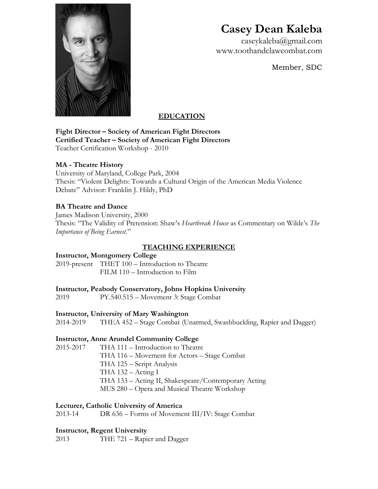

# **Casey Dean Kaleba**

caseykaleba@gmail.com www.toothandclawcombat.com

Member, SDC

# **EDUCATION**

**Fight Director – Society of American Fight Directors Certified Teacher – Society of American Fight Directors** Teacher Certification Workshop - 2010

# **MA - Theatre History**

University of Maryland, College Park, 2004 Thesis: "Violent Delights: Towards a Cultural Origin of the American Media Violence Debate" Advisor: Franklin J. Hildy, PhD

# **BA Theatre and Dance**

James Madison University, 2000 Thesis: "The Validity of Pretension: Shaw's *Heartbreak House* as Commentary on Wilde's *The Importance of Being Earnest.*"

# **TEACHING EXPERIENCE**

# **Instructor, Montgomery College**

2019-present THET 100 – Introduction to Theatre FILM 110 – Introduction to Film

# **Instructor, Peabody Conservatory, Johns Hopkins University**

2019 PY.540.515 – Movement 3: Stage Combat

# **Instructor, University of Mary Washington**

2014-2019 THEA 452 – Stage Combat (Unarmed, Swashbuckling, Rapier and Dagger)

# **Instructor, Anne Arundel Community College**

2015-2017 THA 111 – Introduction to Theatre THA 116 – Movement for Actors – Stage Combat THA 125 – Script Analysis THA  $132 -$  Acting I THA 133 – Acting II, Shakespeare/Contemporary Acting MUS 280 – Opera and Musical Theatre Workshop

# **Lecturer, Catholic University of America**

2013-14 DR 636 – Forms of Movement III/IV: Stage Combat

# **Instructor, Regent University**

2013 THE 721 – Rapier and Dagger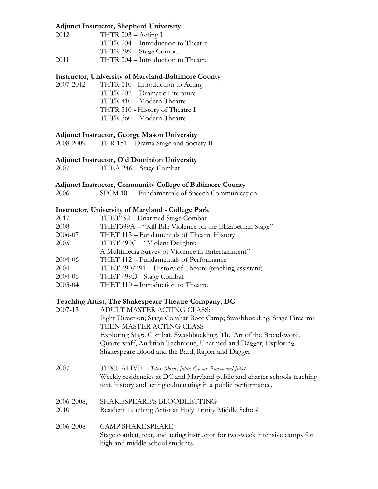## **Adjunct Instructor, Shepherd University**

| 2012 | THTR $203 -$ Acting I              |  |
|------|------------------------------------|--|
|      | THTR 204 – Introduction to Theatre |  |
|      | THTR 399 – Stage Combat            |  |
| 2011 | THTR 204 - Introduction to Theatre |  |

# **Instructor, University of Maryland-Baltimore County**

2007-2012 THTR 110 - Introduction to Acting THTR 202 – Dramatic Literature THTR 410 – Modern Theatre THTR 310 - History of Theatre I THTR 360 – Modern Theatre

## **Adjunct Instructor, George Mason University**

2008-2009 THR 151 – Drama Stage and Society II

# **Adjunct Instructor, Old Dominion University**

2007 THEA 246 – Stage Combat

## **Adjunct Instructor, Community College of Baltimore County**

2006 SPCM 101 – Fundamentals of Speech Communication

## **Instructor, University of Maryland - College Park**

| 2017    | THET452 - Unarmed Stage Combat                            |
|---------|-----------------------------------------------------------|
| 2008    | THET399A - "Kill Bill: Violence on the Elizabethan Stage" |
| 2006-07 | THET 113 - Fundamentals of Theatre History                |
| 2005    | THET 499C – "Violent Delights:                            |
|         | A Multimedia Survey of Violence in Entertainment"         |
| 2004-06 | THET 112 - Fundamentals of Performance                    |
| 2004    | THET 490/491 – History of Theatre (teaching assistant)    |
| 2004-06 | THET 499D - Stage Combat                                  |
| 2003-04 | THET 110 - Introduction to Theatre                        |

# **Teaching Artist, The Shakespeare Theatre Company, DC**

| 2007-13    | ADULT MASTER ACTING CLASS:                                                                                                                 |
|------------|--------------------------------------------------------------------------------------------------------------------------------------------|
|            | Fight Direction; Stage Combat Boot Camp; Swashbuckling; Stage Firearms                                                                     |
|            | TEEN MASTER ACTING CLASS                                                                                                                   |
|            | Exploring Stage Combat, Swashbuckling, The Art of the Broadsword,                                                                          |
|            | Quarterstaff, Audition Technique, Unarmed and Dagger, Exploring                                                                            |
|            | Shakespeare Blood and the Bard, Rapier and Dagger                                                                                          |
| 2007       | TEXT ALIVE - Titus, Shrew, Julius Caesar, Romeo and Juliet.                                                                                |
|            | Weekly residencies at DC and Maryland public and charter schools teaching<br>text, history and acting culminating in a public performance. |
| 2006-2008, | SHAKESPEARE'S BLOODLETTING                                                                                                                 |
| 2010       | Resident Teaching Artist at Holy Trinity Middle School                                                                                     |
| 2006-2008  | <b>CAMP SHAKESPEARE</b>                                                                                                                    |
|            | Stage combat, text, and acting instructor for two-week intensive camps for<br>high and middle school students.                             |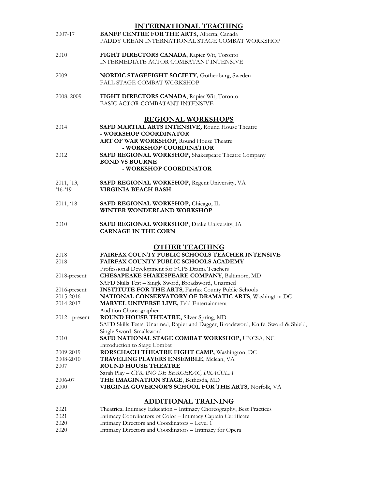|                | <b>INTERNATIONAL TEACHING</b>                                                     |
|----------------|-----------------------------------------------------------------------------------|
| 2007-17        | <b>BANFF CENTRE FOR THE ARTS, Alberta, Canada</b>                                 |
|                | PADDY CREAN INTERNATIONAL STAGE COMBAT WORKSHOP                                   |
| 2010           | FIGHT DIRECTORS CANADA, Rapier Wit, Toronto                                       |
|                | INTERMEDIATE ACTOR COMBATANT INTENSIVE                                            |
| 2009           | NORDIC STAGEFIGHT SOCIETY, Gothenburg, Sweden                                     |
|                | <b>FALL STAGE COMBAT WORKSHOP</b>                                                 |
| 2008, 2009     | FIGHT DIRECTORS CANADA, Rapier Wit, Toronto                                       |
|                | BASIC ACTOR COMBATANT INTENSIVE                                                   |
|                | <b>REGIONAL WORKSHOPS</b>                                                         |
| 2014           | SAFD MARTIAL ARTS INTENSIVE, Round House Theatre                                  |
|                | - WORKSHOP COORDINATOR                                                            |
|                | ART OF WAR WORKSHOP, Round House Theatre                                          |
|                | - WORKSHOP COORDINATIOR                                                           |
| 2012           | SAFD REGIONAL WORKSHOP, Shakespeare Theatre Company                               |
|                | <b>BOND VS BOURNE</b>                                                             |
|                | - WORKSHOP COORDINATOR                                                            |
| 2011, '13,     | SAFD REGIONAL WORKSHOP, Regent University, VA                                     |
| $716 - 19$     | <b>VIRGINIA BEACH BASH</b>                                                        |
| 2011, '18      | SAFD REGIONAL WORKSHOP, Chicago, IL                                               |
|                | WINTER WONDERLAND WORKSHOP                                                        |
| 2010           | SAFD REGIONAL WORKSHOP, Drake University, IA                                      |
|                | <b>CARNAGE IN THE CORN</b>                                                        |
|                | <b>OTHER TEACHING</b>                                                             |
| 2018           | FAIRFAX COUNTY PUBLIC SCHOOLS TEACHER INTENSIVE                                   |
| 2018           | FAIRFAX COUNTY PUBLIC SCHOOLS ACADEMY                                             |
|                | Professional Development for FCPS Drama Teachers                                  |
| 2018-present   | <b>CHESAPEAKE SHAKESPEARE COMPANY</b> , Baltimore, MD                             |
|                | SAFD Skills Test - Single Sword, Broadsword, Unarmed                              |
| 2016-present   | <b>INSTITUTE FOR THE ARTS, Fairfax County Public Schools</b>                      |
| 2015-2016      | NATIONAL CONSERVATORY OF DRAMATIC ARTS, Washington DC                             |
| 2014-2017      | <b>MARVEL UNIVERSE LIVE, Feld Entertainment</b>                                   |
|                | Audition Choreographer                                                            |
| 2012 - present | ROUND HOUSE THEATRE, Silver Spring, MD                                            |
|                | SAFD Skills Tests: Unarmed, Rapier and Dagger, Broadsword, Knife, Sword & Shield, |
|                | Single Sword, Smallsword                                                          |
| 2010           | SAFD NATIONAL STAGE COMBAT WORKSHOP, UNCSA, NC                                    |
|                | Introduction to Stage Combat                                                      |
| 2009-2019      | RORSCHACH THEATRE FIGHT CAMP, Washington, DC                                      |
| 2008-2010      | <b>TRAVELING PLAYERS ENSEMBLE, Mclean, VA</b>                                     |
| 2007           | ROUND HOUSE THEATRE                                                               |
|                | Sarah Play - CYRANO DE BERGERAC, DRACULA                                          |
| 2006-07        | THE IMAGINATION STAGE, Bethesda, MD                                               |
| 2000           | VIRGINIA GOVERNOR'S SCHOOL FOR THE ARTS, Norfolk, VA                              |
|                | <b>ADDITIONAL TRAINING</b>                                                        |
| 2021           | Theatrical Intimacy Education - Intimacy Choreography, Best Practices             |
| 2021           | Intimacy Coordinators of Color - Intimacy Captain Certificate                     |

- 2020 Intimacy Directors and Coordinators Level 1
- 2020 Intimacy Directors and Coordinators Intimacy for Opera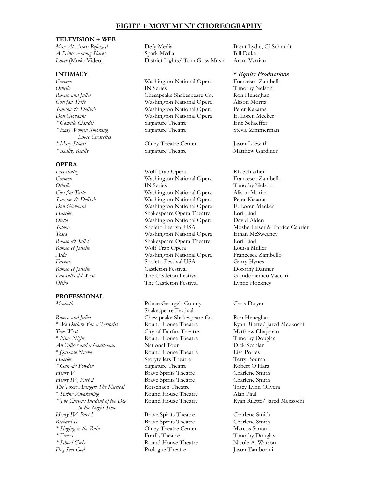## **FIGHT + MOVEMENT CHOREOGRAPHY**

### **TELEVISION + WEB**

*Loose Cigarettes \* Mary Stuart* Olney Theatre Center Jason Loewith

## **OPERA**

## **PROFESSIONAL**

*Romeo and Juliet* **Chesapeake Shakespeare Co.** Ron Heneghan *True West* City of Fairfax Theatre Matthew Chapman *\* Nine Night* **Round House Theatre** Timothy Douglas *An Officer and a Gentleman* National Tour Dick Scanlan *\* Quixote Nuevo* Round House Theatre Lisa Portes *Hamlet* Storytellers Theatre Terry Bouma *\* Gun & Powder* Signature Theatre Robert O'Hara *Henry V* Brave Spirits Theatre Charlene Smith *Henry IV*, *Part 2* Brave Spirits Theatre Charlene Smith *The Toxic Avenger: The Musical* Rorschach Theatre Tracy Lynn Olivera *\* Spring Awakening* Round House Theatre Alan Paul *\* The Curious Incident of the Dog* Round House Theatre Ryan Rilette/ Jared Mezzochi *In the Night Time Henry IV*, *Part I* Brave Spirits Theatre Charlene Smith *Richard II* Brave Spirits Theatre Charlene Smith *\* Singing in the Rain* Olney Theatre Center Marcos Santana *\* Fences* Ford's Theatre Timothy Douglas *\* School Girls* Round House Theatre Nicole A. Watson *Dog Sees God* Prologue Theatre Jason Tamborini

*Man At Arms: Reforged* Defy Media Brent Lydic, CJ Schmidt *A Prince Among Slaves* Spark Media Bill Duke *Lover* (Music Video) District Lights/ Tom Goss Music Aram Vartian

*Carmen* Washington National Opera Francesca Zambello *Othello* IN Series Timothy Nelson<br>Romeo and Juliet Chesapeake Shakespeare Co. Ron Heneghan *Romeo and Juliet* Chesapeake Shakespeare Co. Ron Heneghan *Cosi fan Tutte* Washington National Opera Alison Moritz *Samson & Delilah* Washington National Opera Peter Kazaras *Don Giovanni* Washington National Opera E. Loren Meeker *\* Camille Claudel* Signature Theatre Eric Schaeffer *\* Easy Women Smoking* Signature Theatre Stevie Zimmerman

*\* Really, Really* Signature Theatre Matthew Gardiner

*Freischütz* Wolf Trap Opera RB Schlather *Carmen* Washington National Opera Francesca Zambello *Othello* IN Series Timothy Nelson *Cosi fan Tutte* Washington National Opera Alison Moritz *Samson & Delilah* Washington National Opera Peter Kazaras *Don Giovanni* Washington National Opera E. Loren Meeker *Hamlet* Shakespeare Opera Theatre Lori Lind *Otello* Washington National Opera David Alden *Tosca* Washington National Opera Ethan McSweeney *Romeo & Juliet* Shakespeare Opera Theatre Lori Lind *Romeo et Juliette* Wolf Trap Opera Louisa Muller *Aida* Washington National Opera Francesca Zambello Farnace Spoleto Festival USA Garry Hynes *Romeo et Juliette* Castleton Festival Dorothy Danner *Fanciulla del West* The Castleton Festival Giandomenico Vaccari *Otello* The Castleton Festival Lynne Hockney

*Macbeth* Prince George's County Chris Dwyer Shakespeare Festival

## **INTIMACY \* Equity Productions**

*Salome* Spoleto Festival USA Moshe Leiser & Patrice Caurier

*\* We Declare You a Terrorist* Round House Theatre Ryan Rilette/ Jared Mezzochi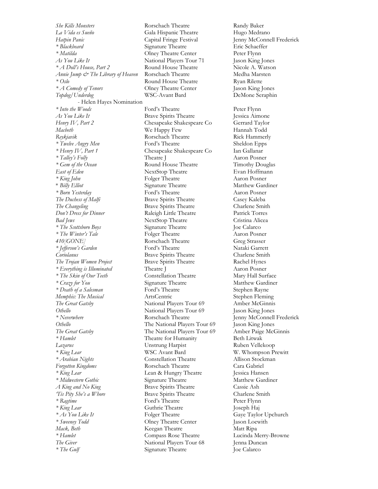*La Vida es Sueño* Gala Hispanic Theatre Hugo Medrano *Hatpin Panic* Capital Fringe Festival Jenny McConnell Frederick *\* Blackbeard* Signature Theatre Eric Schaeffer *\* Matilda* Olney Theatre Center Peter Flynn *As You Like It* National Players Tour 71 Jason King Jones *\* A Doll's House, Part 2* Round House Theatre Nicole A. Watson *Annie Jump & The Library of Heaven* Rorschach Theatre Medha Marsten *\* Oslo* Round House Theatre Ryan Rilette *\* A Comedy of Tenors* Olney Theatre Center Jason King Jones *Topdog/Underdog* WSC-Avant Bard DeMone Seraphin - Helen Hayes Nomination *\* Into the Woods* **Ford's Theatre** Peter Flynn *As You Like It* **Brave Spirits Theatre** Jessica Aimone<br>
Henry IV, Part 2 Chesapeake Shakespeare Co Gerrard Taylor *Henry IV, Part 2* Chesapeake Shakespeare Co *Macbeth* We Happy Few Hannah Todd Reykjavik **Romes Romes Romes Rick Hammerly** Rick Hammerly *\* Twelve Angry Men* Ford's Theatre Sheldon Epps *\* Henry IV, Part 1* Chesapeake Shakespeare Co Ian Gallanar *\* Talley's Folly* Theatre J Aaron Posner *\* Gem of the Ocean* Round House Theatre Timothy Douglas East of Eden NextStop Theatre Evan Hoffmann *\* King John* Folger Theatre Aaron Posner \* *Billy Elliot* Signature Theatre Matthew Gardiner *\* Born Yesterday* Ford's Theatre Aaron Posner *The Duchess of Malfi* Brave Spirits Theatre Casey Kaleba The Changeling **Brave Spirits Theatre** Charlene Smith *Don't Dress for Dinner* Raleigh Little Theatre Patrick Torres *Bad Jews* NextStop Theatre Cristina Alicea *\* The Scottsboro Boys* Signature Theatre Joe Calarco *\* The Winter's Tale* Folger Theatre Aaron Posner *410[GONE]* Rorschach Theatre Greg Strasser *\* Jefferson's Garden* Ford's Theatre Nataki Garrett *Coriolanus* Brave Spirits Theatre Charlene Smith *The Trojan Women Project* Brave Spirits Theatre Rachel Hynes *\* Everything is Illuminated* Theatre J Aaron Posner *\* The Skin of Our Teeth* Constellation Theatre Mary Hall Surface *\* Crazy for You* Signature Theatre Matthew Gardiner *\* Death of a Salesman* Ford's Theatre Stephen Rayne *Memphis: The Musical* **ArtsCentric ArtsCentric** Stephen Fleming *The Great Gatsby* National Players Tour 69 Amber McGinnis *Othello* National Players Tour 69 Jason King Jones *\* Neverwhere* Rorschach Theatre Jenny McConnell Frederick *Othello* The National Players Tour 69 Jason King Jones *The Great Gatsby* The National Players Tour 69 Amber Paige McGinnis *\* Hamlet* Theatre for Humanity Beth Litwak *Lazarus* Unstrung Harpist Ruben Vellekoop *\* King Lear* WSC Avant Bard W. Whompson Prewitt *\* Arabian Nights* Constellation Theatre Allison Stockman *Forgotten Kingdoms* Rorschach Theatre Cara Gabriel *\* King Lear* Lean & Hungry Theatre Jessica Hansen *\* Midwestern Gothic* Signature Theatre Matthew Gardiner *A King and No King* Brave Spirits Theatre Cassie Ash *'Tis Pity She's a Whore* Brave Spirits Theatre Charlene Smith *\* Ragtime* Ford's Theatre Peter Flynn *\* King Lear* Guthrie Theatre Joseph Haj *\* As You Like It* Folger Theatre Gaye Taylor Upchurch *\* Sweeney Todd* Olney Theatre Center Jason Loewith *Mack, Beth* **Keegan Theatre** Matt Ripa *\* Hamlet* Compass Rose Theatre Lucinda Merry-Browne *The Giver* **National Players Tour 68** Jenna Duncan *\** The Gulf Signature Theatre Joe Calarco

*She Kills Monsters* **Rorschach Theatre Randy Baker**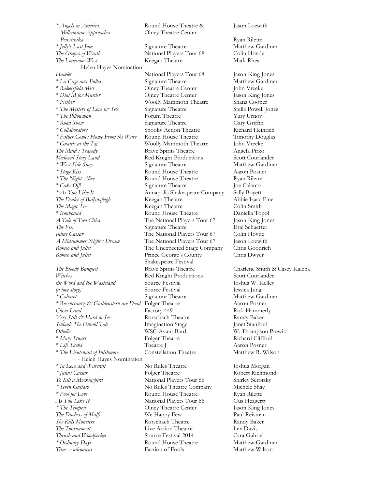*\* Angels in America:* Round House Theatre & Jason Loewith *Millennium Approaches* **Olney Theatre Center** *Perestroika* Ryan Rilette *\* Jelly's Last Jam* Signature Theatre Matthew Gardiner *The Grapes of Wrath* National Players Tour 68 Colin Hovde **The Lonesome West** Keegan Theatre Mark Rhea *-* Helen Hayes Nomination *Hamlet* National Players Tour 68 Jason King Jones *\* La Cage aux Folles* Signature Theatre Matthew Gardiner *\* Bakersfield Mist* Olney Theatre Center John Vreeke *\* Nether* Woolly Mammoth Theatre Shana Cooper \* *The Mystery of Love & Sex* Signature Theatre Stella Powell Jones \* The Pillowman **Forum Theatre** The Pillowman Forum Theatre Pury Urnov Yury Urnov \* Road Show *\* Collaborators* Spooky Action Theatre Richard Heinrich *\* Father Comes Home From the Wars* Round House Theatre Timothy Douglas *\* Guards at the Taj* Woolly Mammoth Theatre John Vreeke *The Maid's Tragedy* Brave Spirits Theatre Angela Pirko *Medieval Story Land* Red Knight Productions Scott Courlander *\* West Side Story* Signature Theatre Matthew Gardiner *\* Stage Kiss* Round House Theatre Aaron Posner *\* The Night Alive* **Round House Theatre Ryan Rilette** *\* Cake Off!* Signature Theatre Joe Calarco *\* As You Like It* Annapolis Shakespeare Company Sally Boyett *The Dealer of Ballynafeigh* Keegan Theatre Abbie Isaac Fine *The Magic Tree* Keegan Theatre Colin Smith *\* Ironbound* Round House Theatre Daniella Topol *A Tale of Two Cities* The National Players Tour 67 Jason King Jones *The Fix* Signature Theatre Eric Schaeffer *Julius Caesar* The National Players Tour 67 Colin Hovde *A Midsummer Night's Dream* The National Players Tour 67 Jason Loewith *Romeo and Juliet* The Unexpected Stage Company Chris Goodrich *Romeo and Juliet* Prince George's County Chris Dwyer *The Bloody Banquet* **Brave Spirits Theatre** Charlene Smith & Casey Kaleba Witches Red Knight Productions Scott Courlander *the Word and the Wasteland* Source Festival **Source Interval Source Source Interval** Joshua W. Kelley *(a love story)* Source Festival Jessica Jung *\* Cabaret* Signature Theatre Matthew Gardiner *\* Rosencrantz*  $\mathcal{O}^{\times}$  *Guildenstern are Dead* Folger Theatre Aaron Posner *Closet Land* **Factory 449** Rick Hammerly *Very Still & Hard to See* Rorschach Theatre Randy Baker *Sinbad: The Untold Tale* Imagination Stage Janet Stanford *Othello* WSC-Avant Bard W. Thompson Prewitt *\* Mary Stuart* **Folger Theatre Folger Theatre Richard Clifford** *\* Life Sucks* Theatre J Aaron Posner *\* The Lieutenant of Inishmore* Constellation Theatre Matthew R. Wilson - Helen Hayes Nomination *\* In Love and Warcraft* No Rules Theatre Joshua Morgan *\* Julius Caesar* Folger Theatre Robert Richmond *To Kill a Mockingbird* National Players Tour 66 Shirley Serotsky *\* Seven Guitars* No Rules Theatre Company Michele Shay *\* Fool for Love* Round House Theatre Ryan Rilette As You Like It **National Players Tour 66** Gus Heagerty *\* The Tempest* Olney Theatre Center Jason King Jones *The Duchess of Malfi* We Happy Few Paul Reisman *She Kills Monsters* **Rorschach Theatre Randy Baker** *The Tournament* Live Action Theatre Lex Davis *Thrush and Woodpecker* Source Festival 2014 Cara Gabriel *\* Ordinary Days* Round House Theatre Matthew Gardiner *Titus Andronicus* Faction of Fools Matthew Wilson

**Olney Theatre Center** Jason King Jones **Signature Theatre** Shakespeare Festival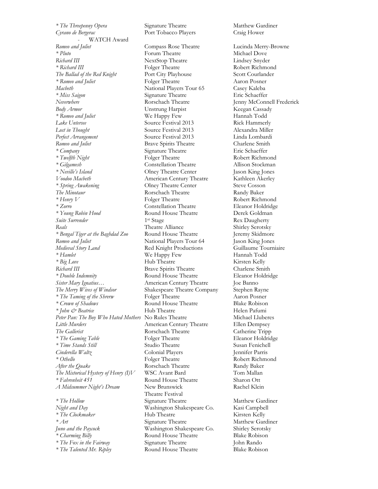*\* The Threepenny Opera* Signature Theatre Matthew Gardiner Cyrano de Bergerac **Port Tobacco Players** Craig Hower WATCH Award *Romeo and Juliet* Compass Rose Theatre Lucinda Merry-Browne *\* Pluto* Forum Theatre Michael Dove *Richard III* NextStop Theatre Lindsey Snyder *\* Richard III* Folger Theatre Robert Richmond The Ballad of the Red Knight Port City Playhouse Scott Courlander *\* Romeo and Juliet* Folger Theatre Aaron Posner *Macbeth* **Macbeth** 1988 Mac*beth* National Players Tour 65 Casey Kaleba<br> **Macbeth** 1988 Signature Theatre 1988 Eric Schaeffer *\* Miss Saigon* Signature Theatre *Neverwhere* Rorschach Theatre Jenny McConnell Frederick *Body Armor* Unstrung Harpist Keegan Cassady *\* Romeo and Juliet* We Happy Few Hannah Todd *Lake Untersee* Source Festival 2013 Rick Hammerly *Lost in Thought* Source Festival 2013 Alexandra Miller *Perfect Arrangement* Source Festival 2013 Linda Lombardi Romeo and Juliet **Brave Spirits Theatre** Charlene Smith *\* Company* Signature Theatre Eric Schaeffer *\* Twelfth Night* **Folger Theatre** Robert Richmond *\* Gilgamesh* Constellation Theatre Allison Stockman *\* Neville's Island* Olney Theatre Center Jason King Jones *Voodoo Macbeth* American Century Theatre Kathleen Akerley *\* Spring Awakening* Olney Theatre Center Steve Cosson *The Minotaur* **Rorschach Theatre Randy Baker** *\* Henry V* Folger Theatre Robert Richmond *\* Zorro* Constellation Theatre Eleanor Holdridge *\* Young Robin Hood* Round House Theatre Derek Goldman *Suite Surrender* 1<sup>st</sup> Stage *Reals* Theatre Alliance Shirley Serotsky *\* Bengal Tiger at the Baghdad Zoo* Round House Theatre Jeremy Skidmore *Romeo* and *Juliet* **National Players Tour 64** Jason King Jones *Medieval Story Land* Red Knight Productions Guillaume Tourniaire *\* Hamlet* We Happy Few Hannah Todd *\* Big Love* **Hub Theatre** Kirsten Kelly *Richard III* Brave Spirits Theatre Charlene Smith *\* Double Indemnity* Round House Theatre Eleanor Holdridge *Sister Mary Ignatius…* American Century Theatre Joe Banno *The Merry Wives of Windsor* Shakespeare Theatre Company Stephen Rayne *\* The Taming of the Shrerw* Folger Theatre Aaron Posner \* *Crown of Shadows* Round House Theatre Blake Robison<br>
\* *John & Beatrice* Hub Theatre Helen Pafumi *\* John & Beatrice* Hub Theatre Helen Pafumi Peter Pan: The Boy Who Hated Mothers No Rules Theatre Michael Lluberes *Little Murders* **American Century Theatre** Ellen Dempsey *The Gallerist* Rorschach Theatre Catherine Tripp *\* The Gaming Table* **Folger Theatre Folger Theatre Eleanor Holdridge** *\* Time Stands Still* Studio Theatre Susan Fenichell *Cinderella Waltz* Colonial Players Jennifer Parris *\* Othello* Folger Theatre Robert Richmond *After the Quake* Rorschach Theatre Randy Baker *The Mistorical Hystery of Henry (I)V* WSC Avant Bard Tom Mallan *\* Fahrenheit 451* Round House Theatre Sharon Ott *A Midsummer Night's Dream* New Brunswick Rachel Klein *\* The Hollow* Signature Theatre Matthew Gardiner *Night and Day* Washington Shakespeare Co. Kasi Campbell *\* The Clockmaker* **Hub Theatre Kirsten Kelly** *\* Art* Signature Theatre Matthew Gardiner *Juno and the Paycock* Washington Shakespeare Co. Shirley Serotsky *\* Charming Billy* **Round House Theatre** Blake Robison *\* The Fox in the Fairway* Signature Theatre John Rando

Theatre Festival *\* The Talented Mr. Ripley* Round House Theatre Blake Robison

Rex Daugherty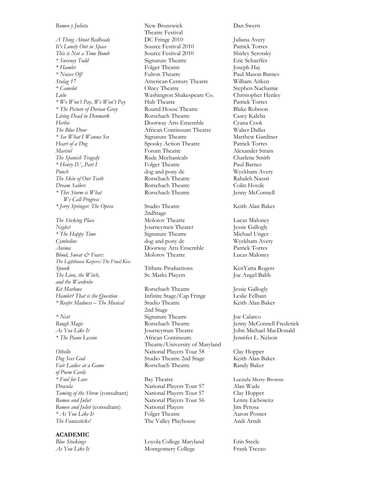*A Thing About Redheads* **DC Fringe 2010** Juliana Avery *It's Lonely Out in Space* Source Festival 2010 Patrick Torres *This is Not a Time Bomb* Source Festival 2010 Shirley Serotsky *\* Sweeney Todd* Signature Theatre Eric Schaeffer *\* Hamlet* Folger Theatre Joseph Haj *\* Noises Off* Fulton Theatre Paul Mason Barnes *Stalag 17* American Century Theatre William Aitken *\* Camelot* Olney Theatre Stephen Nachamie *Lulu* Washington Shakespeare Co. Christopher Henley *\* We Won't Pay, We Won't Pay* Hub Theatre Patrick Torres *\* The Picture of Dorian Gray* Round House Theatre Blake Robison *Living Dead in Denmark* Rorschach Theatre Casey Kaleba *Herbie* Doorway Arts Ensemble Cyana Cook *The Blue Door* African Continuum Theatre Walter Dallas *\* See What I Wanna See* Signature Theatre Matthew Gardiner *Heart of a Dog* Spooky Action Theatre Patrick Torres *Marisol* Forum Theatre Alexander Strain *The Spanish Tragedy* Rude Mechanicals Charlene Smith *\* Henry IV, Part I* Folger Theatre Paul Barnes *Punch* dog and pony dc Wyckham Avery *The Skin of Our Teeth* Rorschach Theatre Rahaleh Nassri *Dream Sailors* **Rorschach Theatre Colin Hovde** *\* This Storm is What* Rorschach Theatre Jenny McConnell  *We Call Progress \* Jerry Springer: The Opera* Studio Theatre Keith Alan Baker The Sticking Place Molotov Theatre Molotov Theatre Lucas Maloney *Neglect* Journeymen Theater Jessie Gallogly *\* The Happy Time* Signature Theatre Michael Unger *Cymbeline* dog and pony dc Wyckham Avery *Anima* Doorway Arts Ensemble Patrick Torres *Blood, Sweat & Fears:* Molotov Theatre Lucas Maloney *The Lighthouse Keepers/The Final Kiss Spunk* Tribute Productions KenYatta Rogers *The Lion, the Witch,* St. Marks Players Joe Angel Babb *and the Wardrobe*

Fair Ladies at a Game **Rorschach Theatre** Randy Baker *of Poem Cards \* Fool for Love* Bay Theatre Bay **Bay Theatre** Lucinda Merry-Browne *Dracula* **Calcular Contains Contains** National Players Tour 57 Alan Wade Taming of the Shrew (consultant) National Players Tour 57 Clay Hoppe *Taming of the Shrew* (consultant) National Players Tour 57 Clay Hopper *Romeo* and *Juliet* **Consultant National Players Tour 56** Lenny Liebowitz **Romeo** and *Juliet* (consultant) **National Players Consultant** *Jim Petosa Romeo and Juliet* (consultant) *\* As You Like It* **Folger Theatre** Aaron Posner *The Fantasticks!* The Valley Playhouse **Andi Arnol** Andi Arnol *Andi* Andi Arnol *Andi* Andi Arnol *Andi* Andi Arnol *Andi Arnol Andi Arnol Andi Arnol Andi Arnol An* 

## **ACADEMIC**

*Romeo y Julieta* New Brunswick Dan Swern Theatre Festival

2ndStage

*Kit Marlowe* **Rorschach Theatre** *Rose Party Bessie Gallogly*<br> *Hamlet? That is the Ouestion* **Infinite Stage/Cap Fringe** *Leslie Felbain Hamlet? That is the Question* Infinite Stage/Cap Fringe Leslie Felbain<br>
\* Reefer Madness – The Musical Studio Theatre Keith Alan Baker *\** Reefer Madness - The Musical Studio Theatre 2nd Stage *\* Nest* Signature Theatre **Signature Theatre** Joe Calarco *Rough Magic* **Calarco Rough Magic Constant Constant Constant Constant Constant Constant Constant Constant Constant Constant Constant Constant Constant Constan** Rorschach Theatre **Immunition** Jenny McConnell Frederick As *You Like It* **Journeyman Theatre** John Michael MacDonald *\* The Piano Lesson* African Continuum Jennifer L. Nelson Theatre/University of Maryland *Othello* National Players Tour 58 Clay Hopper *Dog Sees God* Studio Theatre 2nd Stage Keith Alan Baker

The Valley Playhouse

*Blue Stockings* Loyola College Maryland Erin Steele **Montgomery College** Frank Trezzo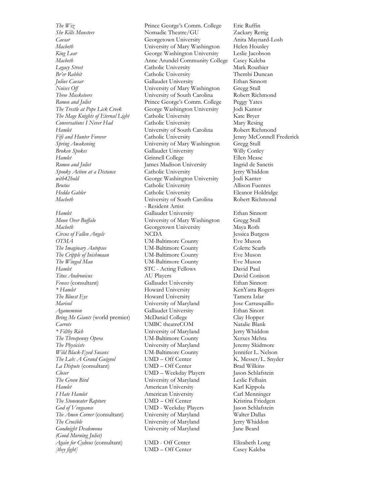*She Kills Monsters* Nomadic Theatre/GU Zackary Rettig *Caesar* Georgetown University Anita Maynard-Losh *Macbeth* University of Mary Washington Helen Housley *King Lear* George Washington University Leslie Jacobson *Macbeth* Anne Arundel Community College Casey Kaleba *Legacy Street* Catholic University Mark Routhier *Br'er* Rabbit Catholic University Thembi Duncan *Julius Caesar* Gallaudet University Ethan Sinnott *Noises Off* **Example 3 University of Mary Washington** Gregg Stull Three Musketeers **Conserversity of South Carolina** Robert Rich Romeo and Juliet **Prince George's Comm. College** Peggy Yates *The Trestle at Pope Lick Creek* George Washington University Jodi Kantor *The Mage Knights of Eternal Light* Catholic University Kate Bryer *Conversations I Never Had* Catholic University Mary Resing *Hamlet* University of South Carolina Robert Richmond *Fifi and Hunter Forever* Catholic University Jenny McConnell Frederick *Spring Awakening* University of Mary Washington Gregg Stull *Broken Spokes* Gallaudet University Willy Conley *Hamlet* Grinnell College Ellen Mease *Romeo and Juliet* James Madison University Ingrid de Sanctis *Spooky Action at a Distance* Catholic University Jerry Whiddon *with42hold* George Washington University Jodi Kanter *Brutus* Catholic University Allison Fuentes *Hedda Gabler* Catholic University Eleanor Holdridge *Macbeth* University of South Carolina Robert Richmond *Hamlet* Gallaudet University Ethan Sinnott *Moon Over Buffalo* University of Mary Washington Gregg Stull *Macbeth* Georgetown University Maya Roth *Circus of Fallen Angels* NCDA Jessica Burgess *OTMA* Eve Muson **UM-Baltimore County** Eve Muson *The Imaginary Autopsee* UM-Baltimore County Colette Searls<br> *The Cripple of Inishmaan* UM-Baltimore County Eve Muson *The Cripple of Inishmaan* UM-Baltimore County *The Winged Man* **UM-Baltimore County** Eve Muson *Hamlet* **STC** - Acting Fellows **David Paul** *Titus Andronicus* AU Players David Conison *Fences* (consultant) Gallaudet University Ethan Sinnott *\* Hamlet* Howard University KenYatta Rogers *The Bluest Eye* **Howard University** Tamera Izlar *Marisol* University of Maryland Jose Carrasquillo *Agamemnon* Gallaudet University Ethan Sinott *Bring Me Giants* (world premier) McDaniel College Clay Hopper *Carrots* UMBC theatreCOM Natalie Blank *\* Filthy Rich* University of Maryland Jerry Whiddon *The Threepenny Opera* UM-Baltimore County Xerxes Mehta *The Physicists* University of Maryland Jeremy Skidmore *Wild Black-Eyed Susans* UM-Baltimore County Jennifer L. Nelson *The Lab: A Grand Guignol* UMD – Off Center K. Messer/L. Snyder *La Dispute* (consultant) UMD – Off Center Brad Wilkins *Closer* UMD – Weekday Players Jason Schlafstein *The Green Bird* University of Maryland Leslie Felbain *Hamlet* **American University** Karl Kippola *I* Hate Hamlet **American University** Carl Menninger *The Stonewater Rapture* **UMD** – Off Center **Kristina Friedgen** *God of Vengeance* UMD - Weekday Players Jason Schlafstein *The Amen Corner* (consultant) University of Maryland Walter Dallas *The Crucible* University of Maryland Jerry Whiddon *Goodnight Desdemona* University of Maryland Jane Beard *(Good Morning Juliet) Again for Cydnus* (consultant) UMD - Off Center Elizabeth Long *[they fight]* UMD – Off Center Casey Kaleba

*The Wiz* Prince George's Comm. College Eric Ruffin **There** *Mushersity of South Carolina* Robert Richmond - Resident Artist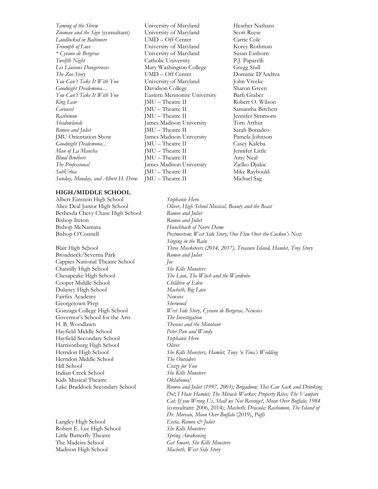*Taming of the Shrew* University of Maryland Heather Nathans *Zooman and the Sign* (consultant) University of Maryland Scott Reese *Landlocked in Baltimore* **UMD** – Off Center **Carrie Cole** *Triumph of Love* University of Maryland Korey Rothman *\* Cyrano de Bergerac* University of Maryland Susan Einhorn *Twelfth Night* Catholic University P.J. Paparelli *Les Liaisons Dangereuses* Mary Washington College Gregg Stull The Zoo Story **UMD** – Off Center **Dominic D'Andrea** *You Can't Take It With You* University of Maryland John Vreeke *Goodnight Desdemona…* Davidson College Sharon Green *You Can't Take It With You* Eastern Mennonite University Barb Graber *King Lear* **JMU** – Theatre II Robert O. Wilson *Carousel* JMU – Theatre II Samantha Birchett Rashomon **JMU** – Theatre II Jennifer Simmons *Shadowlands* James Madison University Tom Arthur *Romeo and Juliet* JMU – Theatre II Sarah Bonadeo JMU Orientation Show James Madison University Pamela Johnson *Goodnight Desdemona...* JMU – Theatre II Casey Kaleba *Man of La Mancha* JMU – Theatre II Jennifer Little *Blood Brothers* **JMU** – Theatre II **Amy Neal** *The Professional* James Madison University Zjelko Djukic *SubUrbia* JMU – Theatre II Mike Raybould *Sunday, Monday, and Albert H. Drew* JMU – Theatre II Michael Sag

### **HIGH/MIDDLE SCHOOL**

Albert Einstein High School *Stephanie Hero* Bethesda Chevy Chase High School *Romeo and Juliet* Bishop Ireton *Romeo and Juliet* Bishop McNamara *Hunchback of Notre Dame*

Broadneck/Severna Park *Romeo and Juliet* Cappies National Theatre School *Joe* Chantilly High School *She Kills Monsters* Cooper Middle School *Children of Eden* Dulaney High School *Macbeth, Big Love* Fairfax Academy *Newsies* Georgetown Prep **Sherwood** Governor's School for the Arts *The Investigation* H. B. Woodlawn *Theseus and the Minotaur* Hayfield Middle School *Peter Pan and Wendy* Hayfield Secondary School *Stephanie Hero* Harrisonburg High School *Oliver* Herndon Middle School *The Outsiders* Hill School *Crazy for You* Indian Creek School *She Kills Monsters* Kids Musical Theatre *Oklahoma!* 

Langley High School *Evita, Romeo & Juliet* Robert E. Lee High School *She Kills Monsters* Little Butterfly Theatre *Spring Awakening* Madison High School *Macbeth, West Side Story*

Alice Deal Junior High School *Oliver, High School Musical, Beauty and the Beast* Bishop O'Connell *Postmortem; West Side Story; One Flew Over the Cuckoo's Nest; Singing in the Rain* Blair High School *Three Musketeers (2014, 2017), Treasure Island, Hamlet, Troy Story* Chesapeake High School *The Lion, The Witch and the Wardrobe* Gonzaga College High School *West Side Story, Cyrano de Bergerac, Newsies* Herndon High School *She Kills Monsters, Hamlet, Tony 'n Tina's Wedding* Lake Braddock Secondary School *Romeo and Juliet (1997, 2003); Brigadoon; This Can Sack and Drinking Do!; I Hate Hamlet; The Miracle Worker; Property Rites; The Vampire Cat; If you Wrong Us, Shall we Not Revenge?, Moon Over Buffalo; 1984* (consultant: 2006, 2014); *Macbeth; Dracula; Rashomon, The Island of Dr. Moreau, Moon Over Buffalo* (2019), *Puffs* The Madeira School *Get Smart, She Kills Monsters*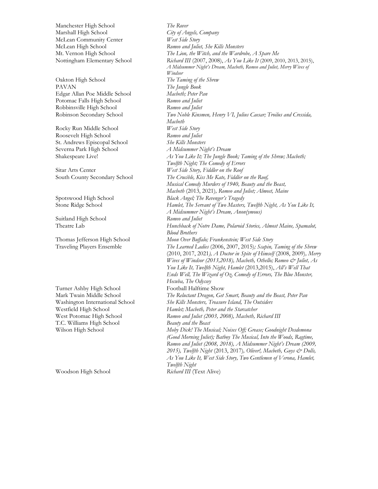Manchester High School *The Rover* Marshall High School *City of Angels, Company* McLean Community Center *West Side Story*

Oakton High School *The Taming of the Shrew* PAVAN *The Jungle Book* Edgar Allan Poe Middle School *Macbeth; Peter Pan* Potomac Falls High School *Romeo and Juliet* Robbinsville High School *Romeo and Juliet*

Rocky Run Middle School *West Side Story* Roosevelt High School *Romeo and Juliet* St. Andrews Episcopal School *She Kills Monsters* Severna Park High School *A Midsummer Night's Dream*

Suitland High School *Romeo and Juliet*

Turner Ashby High School Football Halftime Show T.C. Williams High School *Beauty and the Beast*

Woodson High School *Richard III* (Text Alive)

McLean High School *Romeo and Juliet, She Kills Monsters* Mt. Vernon High School *The Lion, the Witch, and the Wardrobe, A Spare Me* Nottingham Elementary School *Richard III* (2007, 2008), *As You Like It* (2009, 2010, 2013, 2015), *A Midsummer Night's Dream, Macbeth, Romeo and Juliet, Merry Wives of Windsor* Robinson Secondary School *Two Noble Kinsmen, Henry VI, Julius Caesar; Troilus and Cressida, Macbeth* Shakespeare Live! *As You Like It; The Jungle Book; Taming of the Shrew; Macbeth; Twelfth Night; The Comedy of Errors* Sitar Arts Center *West Side Story, Fiddler on the Roof* South County Secondary School *The Crucible, Kiss Me Kate, Fiddler on the Roof, Musical Comedy Murders of 1940, Beauty and the Beast, Macbeth* (2013, 2021)*, Romeo and Juliet; Almost, Maine*  Spotswood High School *Black Angel; The Revenger's Tragedy* Stone Ridge School *Hamlet, The Servant of Two Masters, Twelfth Night, As You Like It, A Midsummer Night's Dream, Anon(ymous)* Theatre Lab *Hunchback of Notre Dame, Polaroid Stories, Almost Maine, Spamalot, Blood Brothers* Thomas Jefferson High School *Moon Over Buffalo; Frankenstein; West Side Story* Traveling Players Ensemble *The Learned Ladies* (2006, 2007, 2015)*; Scapin, Taming of the Shrew* (2010, 2017, 2021*), A Doctor in Spite of Himself* (2008, 2009)*, Merry Wives of Windsor (2013,2018), Macbeth, Othello; Romeo & Juliet, As You Like It, Twelfth Night, Hamlet* (2013,2015), *All's Well That Ends Well, The Wizard of Oz, Comedy of Errors, The Blue Monster, Hecuba, The Odyssey* Mark Twain Middle School *The Reluctant Dragon, Get Smart, Beauty and the Beast, Peter Pan* Washington International School *She Kills Monsters, Treasure Island, The Outsiders* Westfield High School *Hamlet; Macbeth, Peter and the Starcatcher* West Potomac High School *Romeo and Juliet (2003, 2008), Macbeth, Richard III* Wilson High School *Moby Dick! The Musical; Noises Off; Grease; Goodnight Desdemona (Good Morning Juliet); Batboy The Musical, Into the Woods, Ragtime, Romeo and Juliet (2008, 2018), A Midsummer Night's Dream (2009, 2015), Twelfth Night* (2013, 2017)*, Oliver!, Macbeth, Guys & Dolls, As You Like It, West Side Story, Two Gentlemen of Verona, Hamlet, Twelfth Night*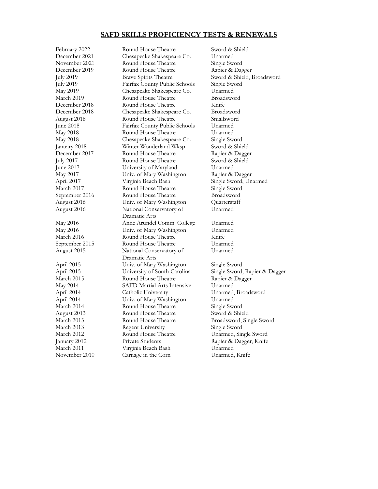## **SAFD SKILLS PROFICIENCY TESTS & RENEWALS**

February 2022 Round House Theatre Sword & Shield December 2021 Chesapeake Shakespeare Co. Unarmed November 2021 Round House Theatre Single Sword December 2019 Round House Theatre Rapier & Dagger July 2019 Brave Spirits Theatre Sword & Shield, Broadsword July 2019 Fairfax County Public Schools Single Sword May 2019 Chesapeake Shakespeare Co. Unarmed March 2019 Round House Theatre Broadsword December 2018 Round House Theatre Knife December 2018 Chesapeake Shakespeare Co. August 2018 Round House Theatre Smallsword June 2018 Fairfax County Public Schools Unarmed May 2018 Round House Theatre Unarmed May 2018 Chesapeake Shakespeare Co. Single Sword January 2018 Winter Wonderland Wksp Sword & Shield December 2017 Round House Theatre Rapier & Dagger July 2017 Round House Theatre Sword & Shield June 2017 University of Maryland Unarmed May 2017 Univ. of Mary Washington Rapier & Dagger April 2017 Virginia Beach Bash Single Sword, Unarmed March 2017 Round House Theatre Single Sword September 2016 Round House Theatre Broadsword August 2016 Univ. of Mary Washington Quarterstaff August 2016 National Conservatory of Unarmed Dramatic Arts May 2016 Anne Arundel Comm. College Unarmed May 2016 Univ. of Mary Washington Unarmed March 2016 Round House Theatre Knife September 2015 Round House Theatre Unarmed August 2015 National Conservatory of Unarmed Dramatic Arts April 2015 Univ. of Mary Washington Single Sword March 2015 Round House Theatre Rapier & Dagger May 2014 SAFD Martial Arts Intensive Unarmed April 2014 Catholic University Unarmed, Broadsword April 2014 Univ. of Mary Washington Unarmed March 2014 Round House Theatre Single Sword August 2013 Round House Theatre Sword & Shield March 2013 Round House Theatre Broadsword, Single Sword March 2013 Regent University Single Sword March 2012 Round House Theatre Unarmed, Single Sword January 2012 Private Students Rapier & Dagger, Knife March 2011 Virginia Beach Bash Unarmed November 2010 Carnage in the Corn Unarmed, Knife

April 2015 University of South Carolina Single Sword, Rapier & Dagger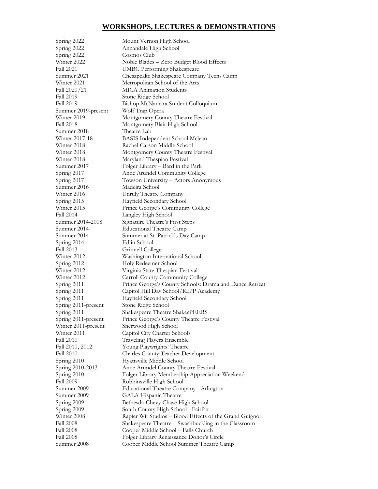# **WORKSHOPS, LECTURES & DEMONSTRATIONS**

| Spring 2022         | Mount Vernon High School                                |
|---------------------|---------------------------------------------------------|
| Spring 2022         | Annandale High School                                   |
| Spring 2022         | Cosmos Club                                             |
| Winter 2022         | Noble Blades - Zero Budget Blood Effects                |
| Fall 2021           |                                                         |
| Summer 2021         | <b>UMBC</b> Performing Shakespeare                      |
|                     | Chesapeake Shakespeare Company Teens Camp               |
| Winter 2021         | Metropolitan School of the Arts                         |
| Fall $2020/21$      | <b>MICA Animation Students</b>                          |
| Fall 2019           | Stone Ridge School                                      |
| <b>Fall 2019</b>    | Bishop McNamara Student Colloquium                      |
| Summer 2019-present | Wolf Trap Opera                                         |
| Winter 2019         | Montgomery County Theatre Festival                      |
| Fall 2018           | Montgomery Blair High School                            |
| Summer 2018         | Theatre Lab                                             |
| Winter 2017-18      | BASIS Independent School Mclean                         |
| Winter 2018         | Rachel Carson Middle School                             |
| Winter 2018         | Montgomery County Theatre Festival                      |
| Winter 2018         | Maryland Thespian Festival                              |
| Summer 2017         | Folger Library – Bard in the Park                       |
| Spring 2017         | Anne Arundel Community College                          |
| Spring 2017         | Towson University – Actors Anonymous                    |
| Summer 2016         | Madeira School                                          |
| Winter 2016         | Unruly Theatre Company                                  |
| Spring 2015         | Hayfield Secondary School                               |
| Winter 2015         | Prince George's Community College                       |
| <b>Fall 2014</b>    | Langley High School                                     |
| Summer 2014-2018    | Signature Theatre's First Steps                         |
| Summer 2014         | <b>Educational Theatre Camp</b>                         |
| Summer 2014         | Summer at St. Patrick's Day Camp                        |
| Spring 2014         | Edlin School                                            |
| Fall 2013           | Grinnell College                                        |
| Winter 2012         | Washington International School                         |
| Spring 2012         | Holy Redeemer School                                    |
| Winter 2012         | Virginia State Thespian Festival                        |
| Winter 2012         |                                                         |
|                     | Carroll County Community College                        |
| Spring 2011         | Prince George's County Schools: Drama and Dance Retreat |
| Spring 2011         | Capitol Hill Day School/KIPP Academy                    |
| Spring 2011         | Hayfield Secondary School                               |
| Spring 2011-present | Stone Ridge School                                      |
| Spring 2011         | Shakespeare Theatre ShakesPEERS                         |
| Spring 2011-present | Prince George's County Theatre Festival                 |
| Winter 2011-present | Sherwood High School                                    |
| Winter 2011         | Capitol City Charter Schools                            |
| <b>Fall 2010</b>    | Traveling Players Ensemble                              |
| Fall 2010, 2012     | Young Playwrights' Theatre                              |
| Fall 2010           | <b>Charles County Teacher Development</b>               |
| Spring 2010         | Hyattsville Middle School                               |
| Spring 2010-2013    | Anne Arundel County Theatre Festival                    |
| Spring 2010         | Folger Library Membership Appreciation Weekend          |
| <b>Fall 2009</b>    | Robbinsville High School                                |
| Summer 2009         | Educational Theatre Company - Arlington                 |
| Summer 2009         | GALA Hispanic Theatre                                   |
| Spring 2009         | Bethesda-Chevy Chase High School                        |
| Spring 2009         | South County High School - Fairfax                      |
| Winter 2008         | Rapier Wit Studios - Blood Effects of the Grand Guignol |
| <b>Fall 2008</b>    | Shakespeare Theatre – Swashbuckling in the Classroom    |
| Fall 2008           | Cooper Middle School - Falls Church                     |
| <b>Fall 2008</b>    | Folger Library Renaissance Donor's Circle               |
| Summer 2008         | Cooper Middle School Summer Theatre Camp                |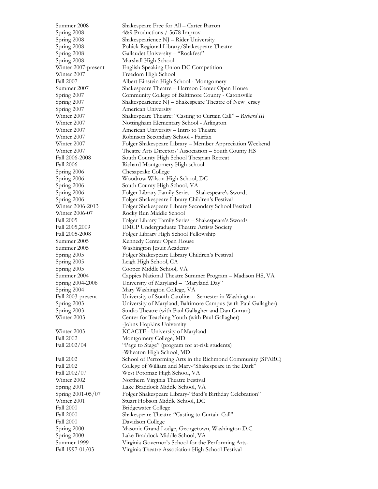Summer 2008 Shakespeare Free for All – Carter Barron Spring 2008 4&9 Productions / 5678 Improv Spring 2008 Shakespearience NJ – Rider University Spring 2008 Pohick Regional Library/Shakespeare Theatre Spring 2008 Gallaudet University – "Rockfest" Spring 2008 Marshall High School Winter 2007-present English Speaking Union DC Competition Winter 2007 Freedom High School Fall 2007 Albert Einstein High School - Montgomery Summer 2007 Shakespeare Theatre – Harmon Center Open House Spring 2007 Community College of Baltimore County - Catonsville Spring 2007 Shakespearience NJ – Shakespeare Theatre of New Jersey Spring 2007 American University Winter 2007 Shakespeare Theatre: "Casting to Curtain Call" – *Richard III* Winter 2007 Nottingham Elementary School - Arlington Winter 2007 American University – Intro to Theatre Winter 2007 Robinson Secondary School - Fairfax Winter 2007 Folger Shakespeare Library – Member Appreciation Weekend Winter 2007 Theatre Arts Directors' Association – South County HS Fall 2006-2008 South County High School Thespian Retreat Fall 2006 **Richard Montgomery High school** Spring 2006 Chesapeake College Spring 2006 Woodrow Wilson High School, DC Spring 2006 South County High School, VA Spring 2006 Folger Library Family Series – Shakespeare's Swords Spring 2006 Folger Shakespeare Library Children's Festival Winter 2006-2013 Folger Shakespeare Library Secondary School Festival Winter 2006-07 Rocky Run Middle School Fall 2005 Folger Library Family Series – Shakespeare's Swords Fall 2005,2009 UMCP Undergraduate Theatre Artists Society Fall 2005-2008 Folger Library High School Fellowship Summer 2005 Kennedy Center Open House Summer 2005 Washington Jesuit Academy Spring 2005 Folger Shakespeare Library Children's Festival Spring 2005 Leigh High School, CA Spring 2005 Cooper Middle School, VA Summer 2004 Cappies National Theatre Summer Program – Madison HS, VA Spring 2004-2008 University of Maryland – "Maryland Day" Spring 2004 Mary Washington College, VA Fall 2003-present University of South Carolina – Semester in Washington Spring 2003 University of Maryland, Baltimore Campus (with Paul Gallagher) Spring 2003 Studio Theatre (with Paul Gallagher and Dan Curran) Winter 2003 Center for Teaching Youth (with Paul Gallagher) -Johns Hopkins University Winter 2003 KCACTF - University of Maryland Fall 2002 Montgomery College, MD Fall 2002/04 "Page to Stage" (program for at-risk students) -Wheaton High School, MD Fall 2002 School of Performing Arts in the Richmond Community (SPARC) Fall 2002 College of William and Mary-"Shakespeare in the Dark" Fall 2002/07 West Potomac High School, VA Winter 2002 Northern Virginia Theatre Festival Spring 2001 Lake Braddock Middle School, VA Spring 2001-05/07 Folger Shakespeare Library-"Bard's Birthday Celebration" Winter 2001 Stuart Hobson Middle School, DC Fall 2000 Bridgewater College Fall 2000 Shakespeare Theatre-"Casting to Curtain Call" Fall 2000 Davidson College Spring 2000 Masonic Grand Lodge, Georgetown, Washington D.C. Spring 2000 Lake Braddock Middle School, VA Summer 1999 Virginia Governor's School for the Performing Arts-Fall 1997-01/03 Virginia Theatre Association High School Festival